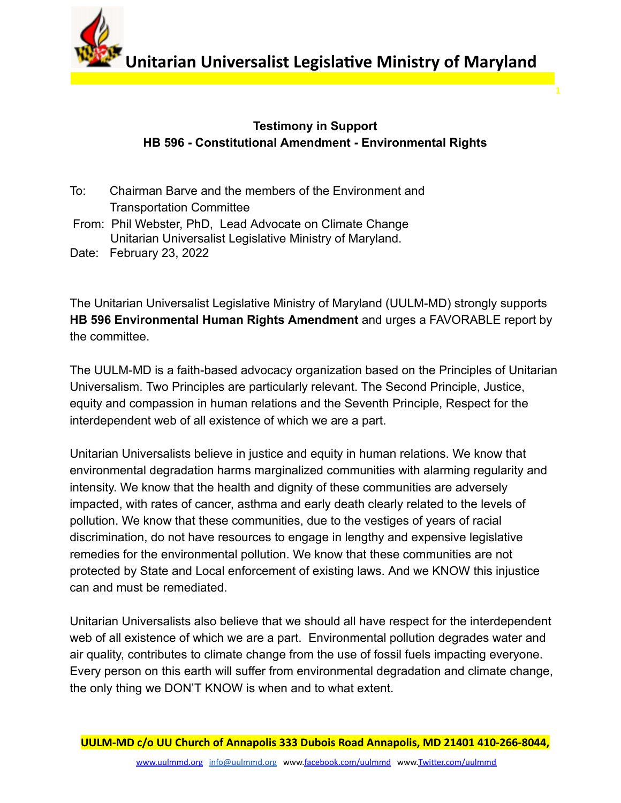**Unitarian Universalist Legislative Ministry of Maryland** 

**1**

## **Testimony in Support HB 596 - Constitutional Amendment - Environmental Rights**

- To: Chairman Barve and the members of the Environment and Transportation Committee
- From: Phil Webster, PhD, Lead Advocate on Climate Change Unitarian Universalist Legislative Ministry of Maryland.
- Date: February 23, 2022

The Unitarian Universalist Legislative Ministry of Maryland (UULM-MD) strongly supports **HB 596 Environmental Human Rights Amendment** and urges a FAVORABLE report by the committee.

The UULM-MD is a faith-based advocacy organization based on the Principles of Unitarian Universalism. Two Principles are particularly relevant. The Second Principle, Justice, equity and compassion in human relations and the Seventh Principle, Respect for the interdependent web of all existence of which we are a part.

Unitarian Universalists believe in justice and equity in human relations. We know that environmental degradation harms marginalized communities with alarming regularity and intensity. We know that the health and dignity of these communities are adversely impacted, with rates of cancer, asthma and early death clearly related to the levels of pollution. We know that these communities, due to the vestiges of years of racial discrimination, do not have resources to engage in lengthy and expensive legislative remedies for the environmental pollution. We know that these communities are not protected by State and Local enforcement of existing laws. And we KNOW this injustice can and must be remediated.

Unitarian Universalists also believe that we should all have respect for the interdependent web of all existence of which we are a part. Environmental pollution degrades water and air quality, contributes to climate change from the use of fossil fuels impacting everyone. Every person on this earth will suffer from environmental degradation and climate change, the only thing we DON'T KNOW is when and to what extent.